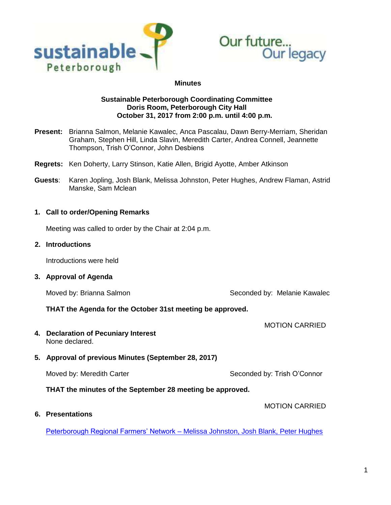



#### **Minutes**

### **Sustainable Peterborough Coordinating Committee Doris Room, Peterborough City Hall October 31, 2017 from 2:00 p.m. until 4:00 p.m.**

- **Present:** Brianna Salmon, Melanie Kawalec, Anca Pascalau, Dawn Berry-Merriam, Sheridan Graham, Stephen Hill, Linda Slavin, Meredith Carter, Andrea Connell, Jeannette Thompson, Trish O'Connor, John Desbiens
- **Regrets:** Ken Doherty, Larry Stinson, Katie Allen, Brigid Ayotte, Amber Atkinson
- **Guests**: Karen Jopling, Josh Blank, Melissa Johnston, Peter Hughes, Andrew Flaman, Astrid Manske, Sam Mclean

### **1. Call to order/Opening Remarks**

Meeting was called to order by the Chair at 2:04 p.m.

#### **2. Introductions**

Introductions were held

**3. Approval of Agenda**

Moved by: Brianna Salmon Summann Seconded by: Melanie Kawalec

MOTION CARRIED

MOTION CARRIED

#### **THAT the Agenda for the October 31st meeting be approved.**

- **4. Declaration of Pecuniary Interest** None declared.
- **5. Approval of previous Minutes (September 28, 2017)**

Moved by: Meredith Carter  $\sim$  Seconded by: Trish O'Connor

**THAT the minutes of the September 28 meeting be approved.**

**6. Presentations**

Peterborough Regional Farmers' Network – [Melissa Johnston, Josh Blank, Peter Hughes](https://sustainablepeterborough.ca/wp-content/uploads/2017/03/PRFN-SP-Slideshow-Final.pdf)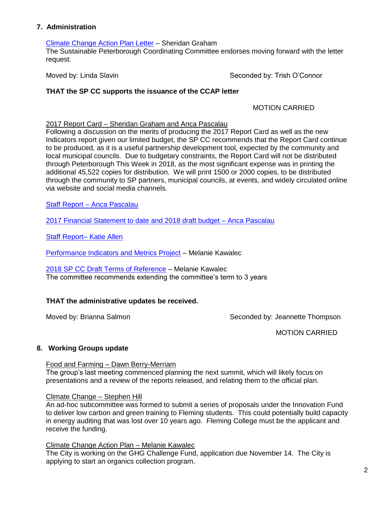## **7. Administration**

### [Climate Change Action Plan Letter](https://sustainablepeterborough.ca/wp-content/uploads/2017/03/CCAP-Letter-Request.pdf) – Sheridan Graham

The Sustainable Peterborough Coordinating Committee endorses moving forward with the letter request.

Moved by: Linda Slavin Seconded by: Trish O'Connor

# **THAT the SP CC supports the issuance of the CCAP letter**

## MOTION CARRIED

### 2017 Report Card – Sheridan Graham and Anca Pascalau

Following a discussion on the merits of producing the 2017 Report Card as well as the new Indicators report given our limited budget, the SP CC recommends that the Report Card continue to be produced, as it is a useful partnership development tool, expected by the community and local municipal councils. Due to budgetary constraints, the Report Card will not be distributed through Peterborough This Week in 2018, as the most significant expense was in printing the additional 45,522 copies for distribution. We will print 1500 or 2000 copies, to be distributed through the community to SP partners, municipal councils, at events, and widely circulated online via website and social media channels.

Staff Report – [Anca Pascalau](https://sustainablepeterborough.ca/wp-content/uploads/2017/03/Staff-Report-Oct-31.pdf)

[2017 Financial Statement to date and 2018 draft budget –](https://sustainablepeterborough.ca/wp-content/uploads/2017/03/2017-Financial-Statement-to-Oct.-25-and-2018-Draft-Budget.pdf) Anca Pascalau

[Staff Report–](https://sustainablepeterborough.ca/wp-content/uploads/2017/03/October-2017-PD-Update.pdf) Katie Allen

[Performance Indicators and Metrics Project](https://sustainablepeterborough.ca/wp-content/uploads/2017/03/2017-SP-Metrics-and-Indicators-Presentation-for-SP-CC-Oct-31-2017.pdf) – Melanie Kawalec

[2018 SP CC Draft Terms of Reference](https://sustainablepeterborough.ca/wp-content/uploads/2017/03/Draft-SP-CC-Terms-of-Reference-revised-December-7-2017.pdf) – Melanie Kawalec The committee recommends extending the committee's term to 3 years

## **THAT the administrative updates be received.**

Moved by: Brianna Salmon Seconded by: Jeannette Thompson

MOTION CARRIED

## **8. Working Groups update**

Food and Farming – Dawn Berry-Merriam

The group's last meeting commenced planning the next summit, which will likely focus on presentations and a review of the reports released, and relating them to the official plan.

## Climate Change – Stephen Hill

An ad-hoc subcommittee was formed to submit a series of proposals under the Innovation Fund to deliver low carbon and green training to Fleming students. This could potentially build capacity in energy auditing that was lost over 10 years ago. Fleming College must be the applicant and receive the funding.

#### Climate Change Action Plan – Melanie Kawalec

The City is working on the GHG Challenge Fund, application due November 14. The City is applying to start an organics collection program.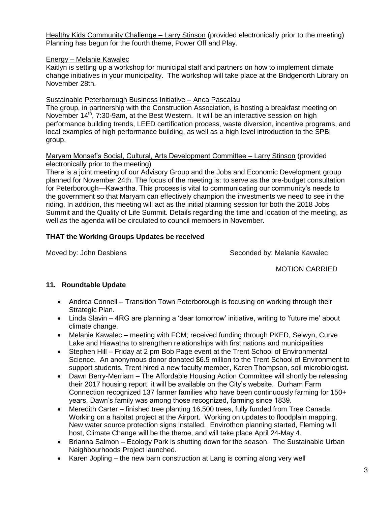Healthy Kids Community Challenge – Larry Stinson (provided electronically prior to the meeting) Planning has begun for the fourth theme, Power Off and Play.

## Energy – Melanie Kawalec

Kaitlyn is setting up a workshop for municipal staff and partners on how to implement climate change initiatives in your municipality. The workshop will take place at the Bridgenorth Library on November 28th.

## Sustainable Peterborough Business Initiative – Anca Pascalau

The group, in partnership with the Construction Association, is hosting a breakfast meeting on November  $14<sup>th</sup>$ , 7:30-9am, at the Best Western. It will be an interactive session on high performance building trends, LEED certification process, waste diversion, incentive programs, and local examples of high performance building, as well as a high level introduction to the SPBI group.

### Maryam Monsef's Social, Cultural, Arts Development Committee – Larry Stinson (provided electronically prior to the meeting)

There is a joint meeting of our Advisory Group and the Jobs and Economic Development group planned for November 24th. The focus of the meeting is: to serve as the pre-budget consultation for Peterborough—Kawartha. This process is vital to communicating our community's needs to the government so that Maryam can effectively champion the investments we need to see in the riding. In addition, this meeting will act as the initial planning session for both the 2018 Jobs Summit and the Quality of Life Summit. Details regarding the time and location of the meeting, as well as the agenda will be circulated to council members in November.

# **THAT the Working Groups Updates be received**

Moved by: John Desbiens Seconded by: Melanie Kawalec

MOTION CARRIED

# **11. Roundtable Update**

- Andrea Connell Transition Town Peterborough is focusing on working through their Strategic Plan.
- Linda Slavin 4RG are planning a 'dear tomorrow' initiative, writing to 'future me' about climate change.
- Melanie Kawalec meeting with FCM; received funding through PKED, Selwyn, Curve Lake and Hiawatha to strengthen relationships with first nations and municipalities
- Stephen Hill Friday at 2 pm Bob Page event at the Trent School of Environmental Science. An anonymous donor donated \$6.5 million to the Trent School of Environment to support students. Trent hired a new faculty member, Karen Thompson, soil microbiologist.
- Dawn Berry-Merriam The Affordable Housing Action Committee will shortly be releasing their 2017 housing report, it will be available on the City's website. Durham Farm Connection recognized 137 farmer families who have been continuously farming for 150+ years, Dawn's family was among those recognized, farming since 1839.
- Meredith Carter finished tree planting 16,500 trees, fully funded from Tree Canada. Working on a habitat project at the Airport. Working on updates to floodplain mapping. New water source protection signs installed. Envirothon planning started, Fleming will host, Climate Change will be the theme, and will take place April 24-May 4.
- Brianna Salmon Ecology Park is shutting down for the season. The Sustainable Urban Neighbourhoods Project launched.
- Karen Jopling the new barn construction at Lang is coming along very well